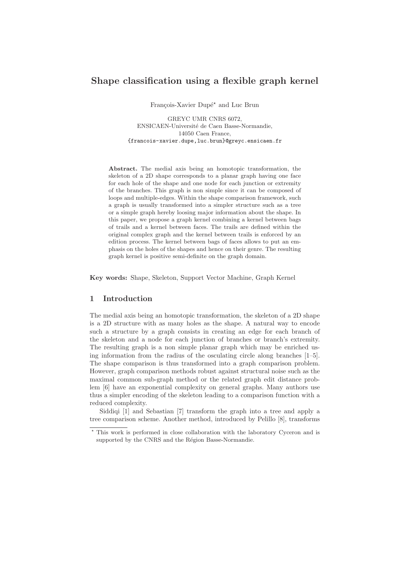# Shape classification using a flexible graph kernel

François-Xavier Dupé<sup>\*</sup> and Luc Brun

GREYC UMR CNRS 6072, ENSICAEN-Université de Caen Basse-Normandie, 14050 Caen France, {francois-xavier.dupe,luc.brun}@greyc.ensicaen.fr

Abstract. The medial axis being an homotopic transformation, the skeleton of a 2D shape corresponds to a planar graph having one face for each hole of the shape and one node for each junction or extremity of the branches. This graph is non simple since it can be composed of loops and multiple-edges. Within the shape comparison framework, such a graph is usually transformed into a simpler structure such as a tree or a simple graph hereby loosing major information about the shape. In this paper, we propose a graph kernel combining a kernel between bags of trails and a kernel between faces. The trails are defined within the original complex graph and the kernel between trails is enforced by an edition process. The kernel between bags of faces allows to put an emphasis on the holes of the shapes and hence on their genre. The resulting graph kernel is positive semi-definite on the graph domain.

Key words: Shape, Skeleton, Support Vector Machine, Graph Kernel

# 1 Introduction

The medial axis being an homotopic transformation, the skeleton of a 2D shape is a 2D structure with as many holes as the shape. A natural way to encode such a structure by a graph consists in creating an edge for each branch of the skeleton and a node for each junction of branches or branch's extremity. The resulting graph is a non simple planar graph which may be enriched using information from the radius of the osculating circle along branches [1–5]. The shape comparison is thus transformed into a graph comparison problem. However, graph comparison methods robust against structural noise such as the maximal common sub-graph method or the related graph edit distance problem [6] have an exponential complexity on general graphs. Many authors use thus a simpler encoding of the skeleton leading to a comparison function with a reduced complexity.

Siddiqi [1] and Sebastian [7] transform the graph into a tree and apply a tree comparison scheme. Another method, introduced by Pelillo [8], transforms

<sup>⋆</sup> This work is performed in close collaboration with the laboratory Cyceron and is supported by the CNRS and the Région Basse-Normandie.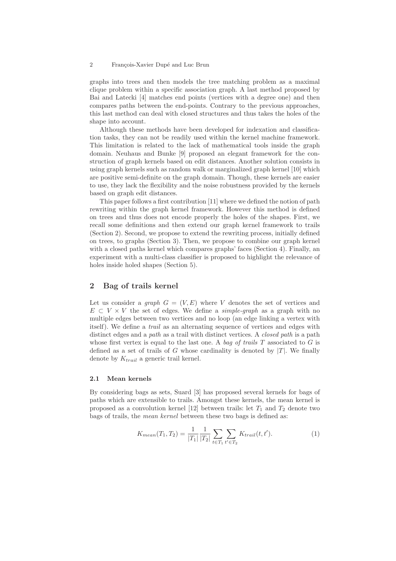## 2 François-Xavier Dupé and Luc Brun

graphs into trees and then models the tree matching problem as a maximal clique problem within a specific association graph. A last method proposed by Bai and Latecki [4] matches end points (vertices with a degree one) and then compares paths between the end-points. Contrary to the previous approaches, this last method can deal with closed structures and thus takes the holes of the shape into account.

Although these methods have been developed for indexation and classification tasks, they can not be readily used within the kernel machine framework. This limitation is related to the lack of mathematical tools inside the graph domain. Neuhaus and Bunke [9] proposed an elegant framework for the construction of graph kernels based on edit distances. Another solution consists in using graph kernels such as random walk or marginalized graph kernel [10] which are positive semi-definite on the graph domain. Though, these kernels are easier to use, they lack the flexibility and the noise robustness provided by the kernels based on graph edit distances.

This paper follows a first contribution [11] where we defined the notion of path rewriting within the graph kernel framework. However this method is defined on trees and thus does not encode properly the holes of the shapes. First, we recall some definitions and then extend our graph kernel framework to trails (Section 2). Second, we propose to extend the rewriting process, initially defined on trees, to graphs (Section 3). Then, we propose to combine our graph kernel with a closed paths kernel which compares graphs' faces (Section 4). Finally, an experiment with a multi-class classifier is proposed to highlight the relevance of holes inside holed shapes (Section 5).

## 2 Bag of trails kernel

Let us consider a *graph*  $G = (V, E)$  where V denotes the set of vertices and  $E \subset V \times V$  the set of edges. We define a *simple-graph* as a graph with no multiple edges between two vertices and no loop (an edge linking a vertex with itself). We define a trail as an alternating sequence of vertices and edges with distinct edges and a *path* as a trail with distinct vertices. A *closed path* is a path whose first vertex is equal to the last one. A bag of trails  $T$  associated to  $G$  is defined as a set of trails of G whose cardinality is denoted by  $|T|$ . We finally denote by  $K_{trail}$  a generic trail kernel.

### 2.1 Mean kernels

By considering bags as sets, Suard [3] has proposed several kernels for bags of paths which are extensible to trails. Amongst these kernels, the mean kernel is proposed as a convolution kernel [12] between trails: let  $T_1$  and  $T_2$  denote two bags of trails, the mean kernel between these two bags is defined as:

$$
K_{mean}(T_1, T_2) = \frac{1}{|T_1|} \frac{1}{|T_2|} \sum_{t \in T_1} \sum_{t' \in T_2} K_{trail}(t, t'). \tag{1}
$$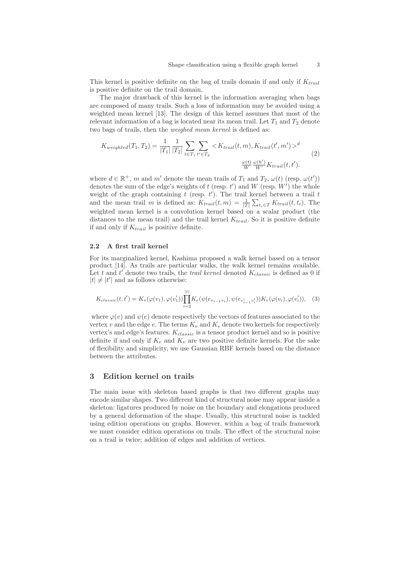This kernel is positive definite on the bag of trails domain if and only if  $K_{trail}$ is positive definite on the trail domain.

The major drawback of this kernel is the information averaging when bags are composed of many trails. Such a loss of information may be avoided using a weighted mean kernel [13]. The design of this kernel assumes that most of the relevant information of a bag is located near its mean trail. Let  $T_1$  and  $T_2$  denote two bags of trails, then the weighed mean kernel is defined as:

$$
K_{weighted}(T_1, T_2) = \frac{1}{|T_1|} \frac{1}{|T_2|} \sum_{t \in T_1} \sum_{t' \in T_2} \langle K_{trail}(t, m), K_{trail}(t', m') \rangle^d
$$
  

$$
\frac{\omega(t)}{W} \frac{\omega(h')}{W'} K_{trail}(t, t').
$$
 (2)

where  $d \in \mathbb{R}^+$ , m and m' denote the mean trails of  $T_1$  and  $T_2$ ,  $\omega(t)$  (resp.  $\omega(t')$ ) denotes the sum of the edge's weights of  $t$  (resp.  $t'$ ) and  $W$  (resp.  $W'$ ) the whole weight of the graph containing  $t$  (resp.  $t'$ ). The trail kernel between a trail  $t$ and the mean trail m is defined as:  $K_{trail}(t,m) = \frac{1}{|T|} \sum_{t_i \in T} K_{trail}(t, t_i)$ . The weighted mean kernel is a convolution kernel based on a scalar product (the distances to the mean trail) and the trail kernel  $K_{trail}$ . So it is positive definite if and only if  $K_{trail}$  is positive definite.

### 2.2 A first trail kernel

For its marginalized kernel, Kashima proposed a walk kernel based on a tensor product [14]. As trails are particular walks, the walk kernel remains available. Let t and  $t'$  denote two trails, the *trail kernel* denoted  $K_{classic}$  is defined as 0 if  $|t| \neq |t'|$  and as follows otherwise:

$$
K_{classic}(t, t') = K_v(\varphi(v_1), \varphi(v'_1)) \prod_{i=2}^{|t|} K_e(\psi(e_{v_{i-1}v_i}), \psi(e_{v'_{i-1}v'_i})) K_v(\varphi(v_i), \varphi(v'_i)), \quad (3)
$$

where  $\varphi(v)$  and  $\psi(e)$  denote respectively the vectors of features associated to the vertex v and the edge e. The terms  $K_v$  and  $K_e$  denote two kernels for respectively vertex's and edge's features.  $K_{classic}$  is a tensor product kernel and so is positive definite if and only if  $K_e$  and  $K_v$  are two positive definite kernels. For the sake of flexibility and simplicity, we use Gaussian RBF kernels based on the distance between the attributes.

# 3 Edition kernel on trails

The main issue with skeleton based graphs is that two different graphs may encode similar shapes. Two different kind of structural noise may appear inside a skeleton: ligatures produced by noise on the boundary and elongations produced by a general deformation of the shape. Usually, this structural noise is tackled using edition operations on graphs. However, within a bag of trails framework we must consider edition operations on trails. The effect of the structural noise on a trail is twice: addition of edges and addition of vertices.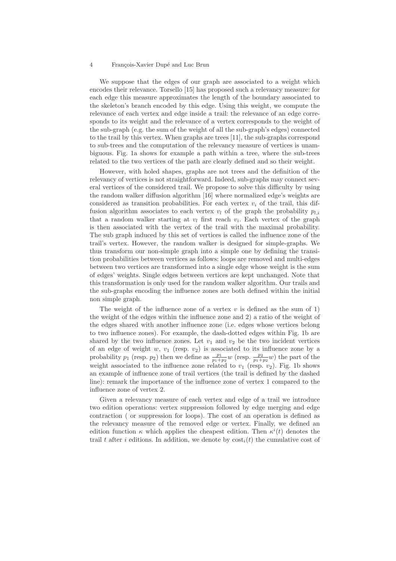#### 4 François-Xavier Dupé and Luc Brun

We suppose that the edges of our graph are associated to a weight which encodes their relevance. Torsello [15] has proposed such a relevancy measure: for each edge this measure approximates the length of the boundary associated to the skeleton's branch encoded by this edge. Using this weight, we compute the relevance of each vertex and edge inside a trail: the relevance of an edge corresponds to its weight and the relevance of a vertex corresponds to the weight of the sub-graph (e.g. the sum of the weight of all the sub-graph's edges) connected to the trail by this vertex. When graphs are trees [11], the sub-graphs correspond to sub-trees and the computation of the relevancy measure of vertices is unambiguous. Fig. 1a shows for example a path within a tree, where the sub-trees related to the two vertices of the path are clearly defined and so their weight.

However, with holed shapes, graphs are not trees and the definition of the relevancy of vertices is not straightforward. Indeed, sub-graphs may connect several vertices of the considered trail. We propose to solve this difficulty by using the random walker diffusion algorithm [16] where normalized edge's weights are considered as transition probabilities. For each vertex  $v_i$  of the trail, this diffusion algorithm associates to each vertex  $v_l$  of the graph the probability  $p_l$ ; that a random walker starting at  $v_i$  first reach  $v_i$ . Each vertex of the graph is then associated with the vertex of the trail with the maximal probability. The sub graph induced by this set of vertices is called the influence zone of the trail's vertex. However, the random walker is designed for simple-graphs. We thus transform our non-simple graph into a simple one by defining the transition probabilities between vertices as follows: loops are removed and multi-edges between two vertices are transformed into a single edge whose weight is the sum of edges' weights. Single edges between vertices are kept unchanged. Note that this transformation is only used for the random walker algorithm. Our trails and the sub-graphs encoding the influence zones are both defined within the initial non simple graph.

The weight of the influence zone of a vertex  $v$  is defined as the sum of 1) the weight of the edges within the influence zone and 2) a ratio of the weight of the edges shared with another influence zone (i.e. edges whose vertices belong to two influence zones). For example, the dash-dotted edges within Fig. 1b are shared by the two influence zones. Let  $v_1$  and  $v_2$  be the two incident vertices of an edge of weight  $w, v_1$  (resp.  $v_2$ ) is associated to its influence zone by a probability  $p_1$  (resp.  $p_2$ ) then we define as  $\frac{p_1}{p_1+p_2}w$  (resp.  $\frac{p_2}{p_1+p_2}w$ ) the part of the weight associated to the influence zone related to  $v_1$  (resp.  $v_2$ ). Fig. 1b shows an example of influence zone of trail vertices (the trail is defined by the dashed line): remark the importance of the influence zone of vertex 1 compared to the influence zone of vertex 2.

Given a relevancy measure of each vertex and edge of a trail we introduce two edition operations: vertex suppression followed by edge merging and edge contraction ( or suppression for loops). The cost of an operation is defined as the relevancy measure of the removed edge or vertex. Finally, we defined an edition function  $\kappa$  which applies the cheapest edition. Then  $\kappa^{i}(t)$  denotes the trail t after i editions. In addition, we denote by  $\text{cost}_i(t)$  the cumulative cost of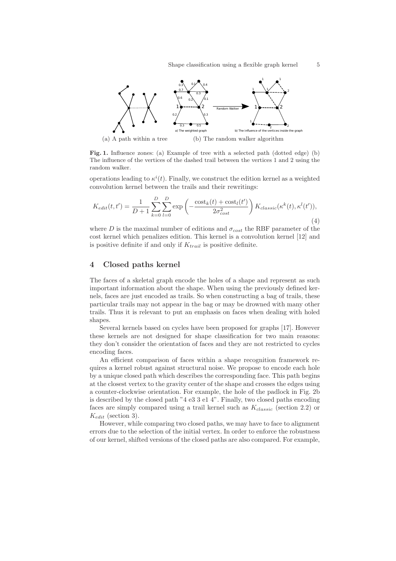

Fig. 1. Influence zones: (a) Example of tree with a selected path (dotted edge) (b) The influence of the vertices of the dashed trail between the vertices 1 and 2 using the random walker.

operations leading to  $\kappa^{i}(t)$ . Finally, we construct the edition kernel as a weighted convolution kernel between the trails and their rewritings:

$$
K_{edit}(t, t') = \frac{1}{D+1} \sum_{k=0}^{D} \sum_{l=0}^{D} \exp\left(-\frac{\text{cost}_k(t) + \text{cost}_l(t')}{2\sigma_{cost}^2}\right) K_{classic}(\kappa^k(t), \kappa^l(t')),
$$
\n(4)

where D is the maximal number of editions and  $\sigma_{cost}$  the RBF parameter of the cost kernel which penalizes edition. This kernel is a convolution kernel [12] and is positive definite if and only if  $K_{trail}$  is positive definite.

# 4 Closed paths kernel

The faces of a skeletal graph encode the holes of a shape and represent as such important information about the shape. When using the previously defined kernels, faces are just encoded as trails. So when constructing a bag of trails, these particular trails may not appear in the bag or may be drowned with many other trails. Thus it is relevant to put an emphasis on faces when dealing with holed shapes.

Several kernels based on cycles have been proposed for graphs [17]. However these kernels are not designed for shape classification for two main reasons: they don't consider the orientation of faces and they are not restricted to cycles encoding faces.

An efficient comparison of faces within a shape recognition framework requires a kernel robust against structural noise. We propose to encode each hole by a unique closed path which describes the corresponding face. This path begins at the closest vertex to the gravity center of the shape and crosses the edges using a counter-clockwise orientation. For example, the hole of the padlock in Fig. 2b is described by the closed path "4 e3 3 e1 4". Finally, two closed paths encoding faces are simply compared using a trail kernel such as  $K_{classic}$  (section 2.2) or  $K_{edit}$  (section 3).

However, while comparing two closed paths, we may have to face to alignment errors due to the selection of the initial vertex. In order to enforce the robustness of our kernel, shifted versions of the closed paths are also compared. For example,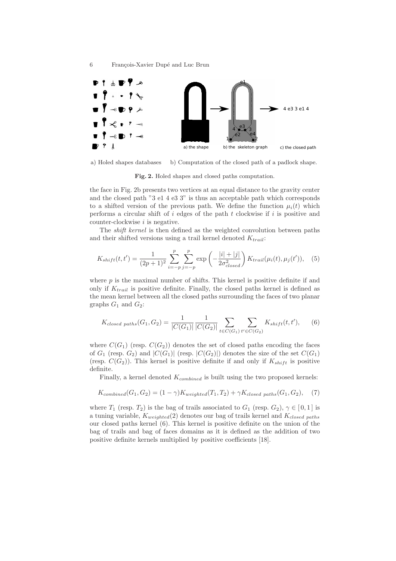

a) Holed shapes databases b) Computation of the closed path of a padlock shape.

Fig. 2. Holed shapes and closed paths computation.

the face in Fig. 2b presents two vertices at an equal distance to the gravity center and the closed path "3 e1 4 e3 3" is thus an acceptable path which corresponds to a shifted version of the previous path. We define the function  $\mu_i(t)$  which performs a circular shift of  $i$  edges of the path  $t$  clockwise if  $i$  is positive and  $counter-clockwise i$  is negative.

The shift kernel is then defined as the weighted convolution between paths and their shifted versions using a trail kernel denoted  $K_{trail}$ :

$$
K_{shift}(t, t') = \frac{1}{(2p+1)^2} \sum_{i=-p}^{p} \sum_{j=-p}^{p} \exp\left(-\frac{|i|+|j|}{2\sigma_{closed}^2}\right) K_{trail}(\mu_i(t), \mu_j(t')), \quad (5)
$$

where  $p$  is the maximal number of shifts. This kernel is positive definite if and only if  $K_{trail}$  is positive definite. Finally, the closed paths kernel is defined as the mean kernel between all the closed paths surrounding the faces of two planar graphs  $G_1$  and  $G_2$ :

$$
K_{closed\ paths}(G_1, G_2) = \frac{1}{|C(G_1)|} \frac{1}{|C(G_2)|} \sum_{t \in C(G_1)} \sum_{t' \in C(G_2)} K_{shift}(t, t'), \quad (6)
$$

where  $C(G_1)$  (resp.  $C(G_2)$ ) denotes the set of closed paths encoding the faces of  $G_1$  (resp.  $G_2$ ) and  $|C(G_1)|$  (resp.  $|C(G_2)|$ ) denotes the size of the set  $C(G_1)$ (resp.  $C(G_2)$ ). This kernel is positive definite if and only if  $K_{shift}$  is positive definite.

Finally, a kernel denoted  $K_{combined}$  is built using the two proposed kernels:

$$
K_{combined}(G_1, G_2) = (1 - \gamma)K_{weighted}(T_1, T_2) + \gamma K_{closed\ paths}(G_1, G_2), \quad (7)
$$

where  $T_1$  (resp.  $T_2$ ) is the bag of trails associated to  $G_1$  (resp.  $G_2$ ),  $\gamma \in [0,1]$  is a tuning variable,  $K_{weighted}(2)$  denotes our bag of trails kernel and  $K_{closed\ paths}$ our closed paths kernel (6). This kernel is positive definite on the union of the bag of trails and bag of faces domains as it is defined as the addition of two positive definite kernels multiplied by positive coefficients [18].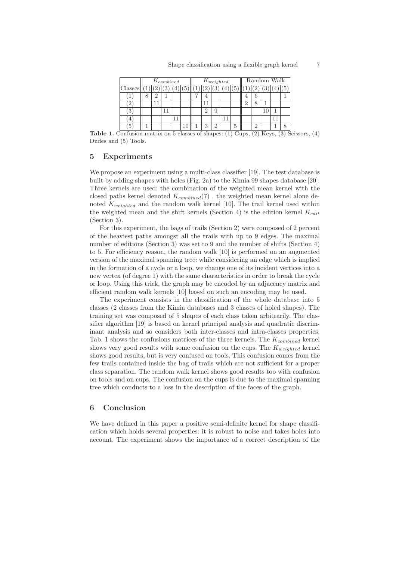|                             | $K_{combined}$ |   |    |  |   | $K_{weighted}$ |          |   |    |              | Random Walk |   |  |  |   |  |  |  |  |
|-----------------------------|----------------|---|----|--|---|----------------|----------|---|----|--------------|-------------|---|--|--|---|--|--|--|--|
| $\overline{\text{Classes}}$ |                |   |    |  | 5 |                |          |   |    | $\mathbf{5}$ |             |   |  |  | 5 |  |  |  |  |
|                             | 8              | റ |    |  |   |                |          |   |    |              |             | 6 |  |  |   |  |  |  |  |
| $^{\circ}2$ ,               |                |   |    |  |   |                |          |   |    |              | ച           | 8 |  |  |   |  |  |  |  |
| $\left(3\right)$            |                |   | 11 |  |   |                | $\Omega$ | 9 |    |              |             |   |  |  |   |  |  |  |  |
| $\left 4\right\rangle$      |                |   |    |  |   |                |          |   | 11 |              |             |   |  |  |   |  |  |  |  |
| 5                           |                |   |    |  |   |                | 3        | 2 |    | 5            |             | റ |  |  |   |  |  |  |  |

Table 1. Confusion matrix on 5 classes of shapes:  $(1)$  Cups,  $(2)$  Keys,  $(3)$  Scissors,  $(4)$ Dudes and (5) Tools.

# 5 Experiments

We propose an experiment using a multi-class classifier [19]. The test database is built by adding shapes with holes (Fig. 2a) to the Kimia 99 shapes database [20]. Three kernels are used: the combination of the weighted mean kernel with the closed paths kernel denoted  $K_{combined}(7)$ , the weighted mean kernel alone denoted  $K_{weighted}$  and the random walk kernel [10]. The trail kernel used within the weighted mean and the shift kernels (Section 4) is the edition kernel  $K_{edit}$ (Section 3).

For this experiment, the bags of trails (Section 2) were composed of 2 percent of the heaviest paths amongst all the trails with up to 9 edges. The maximal number of editions (Section 3) was set to 9 and the number of shifts (Section 4) to 5. For efficiency reason, the random walk [10] is performed on an augmented version of the maximal spanning tree: while considering an edge which is implied in the formation of a cycle or a loop, we change one of its incident vertices into a new vertex (of degree 1) with the same characteristics in order to break the cycle or loop. Using this trick, the graph may be encoded by an adjacency matrix and efficient random walk kernels [10] based on such an encoding may be used.

The experiment consists in the classification of the whole database into 5 classes (2 classes from the Kimia databases and 3 classes of holed shapes). The training set was composed of 5 shapes of each class taken arbitrarily. The classifier algorithm [19] is based on kernel principal analysis and quadratic discriminant analysis and so considers both inter-classes and intra-classes properties. Tab. 1 shows the confusions matrices of the three kernels. The  $K_{combined}$  kernel shows very good results with some confusion on the cups. The  $K_{weighted}$  kernel shows good results, but is very confused on tools. This confusion comes from the few trails contained inside the bag of trails which are not sufficient for a proper class separation. The random walk kernel shows good results too with confusion on tools and on cups. The confusion on the cups is due to the maximal spanning tree which conducts to a loss in the description of the faces of the graph.

# 6 Conclusion

We have defined in this paper a positive semi-definite kernel for shape classification which holds several properties: it is robust to noise and takes holes into account. The experiment shows the importance of a correct description of the